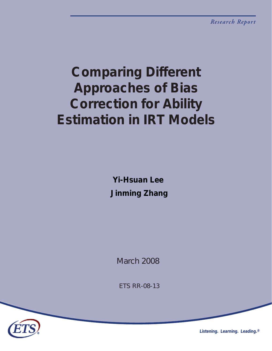# *Comparing Different Approaches of Bias Correction for Ability Estimation in IRT Models*

*Yi-Hsuan Lee Jinming Zhang* 

*March 2008*

*ETS RR-08-13*



*Listening. Learning. Leading.®*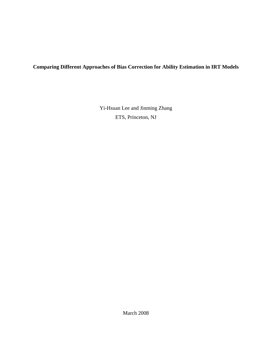# **Comparing Different Approaches of Bias Correction for Ability Estimation in IRT Models**

Yi-Hsuan Lee and Jinming Zhang ETS, Princeton, NJ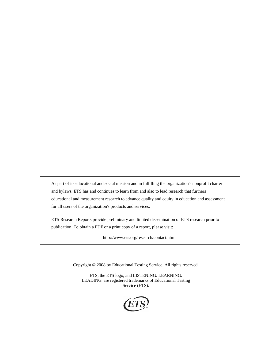As part of its educational and social mission and in fulfilling the organization's nonprofit charter and bylaws, ETS has and continues to learn from and also to lead research that furthers educational and measurement research to advance quality and equity in education and assessment for all users of the organization's products and services.

ETS Research Reports provide preliminary and limited dissemination of ETS research prior to publication. To obtain a PDF or a print copy of a report, please visit:

http://www.ets.org/research/contact.html

Copyright © 2008 by Educational Testing Service. All rights reserved.

ETS, the ETS logo, and LISTENING. LEARNING. LEADING. are registered trademarks of Educational Testing Service (ETS).

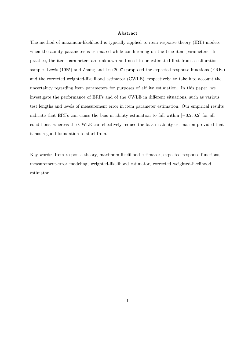#### Abstract

The method of maximum-likelihood is typically applied to item response theory (IRT) models when the ability parameter is estimated while conditioning on the true item parameters. In practice, the item parameters are unknown and need to be estimated first from a calibration sample. Lewis (1985) and Zhang and Lu (2007) proposed the expected response functions (ERFs) and the corrected weighted-likelihood estimator (CWLE), respectively, to take into account the uncertainty regarding item parameters for purposes of ability estimation. In this paper, we investigate the performance of ERFs and of the CWLE in different situations, such as various test lengths and levels of measurement error in item parameter estimation. Our empirical results indicate that ERFs can cause the bias in ability estimation to fall within  $[-0.2, 0.2]$  for all conditions, whereas the CWLE can effectively reduce the bias in ability estimation provided that it has a good foundation to start from.

Key words: Item response theory, maximum-likelihood estimator, expected response functions, measurement-error modeling, weighted-likelihood estimator, corrected weighted-likelihood estimator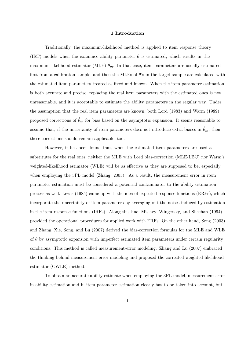#### 1 Introduction

Traditionally, the maximum-likelihood method is applied to item response theory (IRT) models when the examinee ability parameter  $\theta$  is estimated, which results in the maximum-likelihood estimator (MLE)  $\hat{\theta}_m$ . In that case, item parameters are usually estimated first from a calibration sample, and then the MLEs of  $\theta$ 's in the target sample are calculated with the estimated item parameters treated as fixed and known. When the item parameter estimation is both accurate and precise, replacing the real item parameters with the estimated ones is not unreasonable, and it is acceptable to estimate the ability parameters in the regular way. Under the assumption that the real item parameters are known, both Lord (1983) and Warm (1989) proposed corrections of  $\hat{\theta}_m$  for bias based on the asymptotic expansion. It seems reasonable to assume that, if the uncertainty of item parameters does not introduce extra biases in  $\hat{\theta}_m$ , then these corrections should remain applicable, too.

However, it has been found that, when the estimated item parameters are used as substitutes for the real ones, neither the MLE with Lord bias-correction (MLE-LBC) nor Warm's weighted-likelihood estimator (WLE) will be as effective as they are supposed to be, especially when employing the 3PL model (Zhang, 2005). As a result, the measurement error in item parameter estimation must be considered a potential contaminator to the ability estimation process as well. Lewis (1985) came up with the idea of expected response functions (ERFs), which incorporate the uncertainty of item parameters by averaging out the noises induced by estimation in the item response functions (IRFs). Along this line, Mislevy, Wingersky, and Sheehan (1994) provided the operational procedures for applied work with ERFs. On the other hand, Song (2003) and Zhang, Xie, Song, and Lu (2007) derived the bias-correction formulas for the MLE and WLE of  $\theta$  by asymptotic expansion with imperfect estimated item parameters under certain regularity conditions. This method is called measurement-error modeling. Zhang and Lu (2007) embraced the thinking behind measurement-error modeling and proposed the corrected weighted-likelihood estimator (CWLE) method.

To obtain an accurate ability estimate when employing the 3PL model, measurement error in ability estimation and in item parameter estimation clearly has to be taken into account, but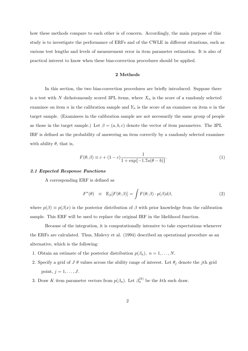how these methods compare to each other is of concern. Accordingly, the main purpose of this study is to investigate the performance of ERFs and of the CWLE in different situations, such as various test lengths and levels of measurement error in item parameter estimation. It is also of practical interest to know when these bias-correction procedures should be applied.

# 2 Methods

In this section, the two bias-correction procedures are briefly introduced. Suppose there is a test with N dichotomously scored 3PL items, where  $X_n$  is the score of a randomly selected examinee on item n in the calibration sample and  $Y_n$  is the score of an examinee on item n in the target sample. (Examinees in the calibration sample are not necessarily the same group of people as those in the target sample.) Let  $\beta = (a, b, c)$  denote the vector of item parameters. The 3PL IRF is defined as the probability of answering an item correctly by a randomly selected examinee with ability  $\theta$ , that is,

$$
F(\theta; \beta) \equiv c + (1 - c) \frac{1}{1 + \exp\{-1.7a(\theta - b)\}}.
$$
 (1)

## 2.1 Expected Response Functions

A corresponding ERF is defined as

$$
F^*(\theta) \equiv \mathbf{E}_{\beta}[F(\theta;\beta)] = \int F(\theta;\beta) \cdot p(\beta) d\beta, \qquad (2)
$$

where  $p(\beta) \equiv p(\beta|x)$  is the posterior distribution of  $\beta$  with prior knowledge from the calibration sample. This ERF will be used to replace the original IRF in the likelihood function.

Because of the integration, it is computationally intensive to take expectations whenever the ERFs are calculated. Thus, Mislevy et al. (1994) described an operational procedure as an alternative, which is the following:

- 1. Obtain an estimate of the posterior distribution  $p(\beta_n)$ ,  $n = 1, \ldots, N$ .
- 2. Specify a grid of  $J \theta$  values across the ability range of interest. Let  $\theta_j$  denote the jth grid point,  $j = 1, \ldots, J$ .
- 3. Draw K item parameter vectors from  $p(\beta_n)$ . Let  $\beta_n^{(k)}$  be the kth such draw.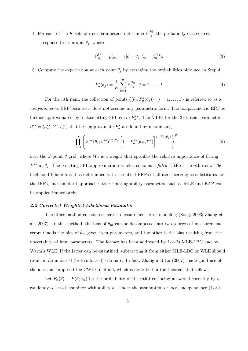4. For each of the K sets of item parameters, determine  $P_{nj}^{(k)}$ , the probability of a correct response to item n at  $\theta_j$ , where

$$
P_{nj}^{(k)} = p(y_n = 1 | \theta = \theta_j, \beta_n = \beta_n^{(k)}).
$$
\n(3)

5. Compute the expectation at each point  $\theta_j$  by averaging the probabilities obtained in Step 4:

$$
F_n^*(\theta_j) = \frac{1}{K} \sum_{k=1}^K \mathbf{P}_{nj}^{(k)}, \ j = 1, \dots, J.
$$
 (4)

For the *n*th item, the collection of points  $\{(\theta_j, F_n^*(\theta_j)) : j = 1, ..., J\}$  is referred to as a nonparametric ERF because it does not assume any parametric form. The nonparametric ERF is further approximated by a close-fitting 3PL curve  $F_n^{**}$ . The MLEs for the 3PL item parameters  $\beta_n^{**} = (a_n^{**}, b_n^{**}, c_n^{**})$  that best approximate  $F_n^*$  are found by maximizing

$$
\prod_{j=1}^{J} \left\{ F_n^{**}(\theta_j; \beta_n^{**})^{F_n^{*}(\theta_j)} \left[ 1 - F_n^{**}(\theta_j; \beta_n^{**}) \right]^{1 - F_n^{*}(\theta_j)} \right\}^{W_j}
$$
\n
$$
\tag{5}
$$

over the J-point  $\theta$  grid, where  $W_j$  is a weight that specifies the relative importance of fitting  $F^{**}$  at  $\theta_j$ . The resulting 3PL approximation is referred to as a *fitted* ERF of the *n*th item. The likelihood function is thus determined with the fitted ERFs of all items serving as substitutes for the IRFs, and standard approaches to estimating ability parameters such as MLE and EAP can be applied immediately.

#### 2.2 Corrected Weighted-Likelihood Estimator

The other method considered here is measurement-error modeling (Song, 2003; Zhang et al., 2007). In this method, the bias of  $\hat{\theta}_m$  can be decomposed into two sources of measurement error: One is the bias of  $\theta_m$  given item parameters, and the other is the bias resulting from the uncertainty of item parameters. The former has been addressed by Lord's MLE-LBC and by Warm's WLE. If the latter can be quantified, subtracting it from either MLE-LBC or WLE should result in an unbiased (or less biased) estimate. In fact, Zhang and Lu (2007) made good use of the idea and proposed the CWLE method, which is described in the theorem that follows.

Let  $F_n(\theta) \equiv F(\theta; \beta_n)$  be the probability of the *n*th item being answered correctly by a randomly selected examinee with ability  $\theta$ . Under the assumption of local independence (Lord,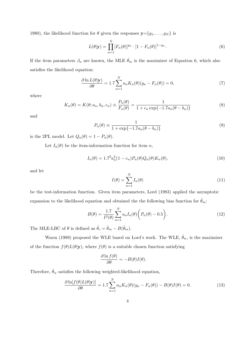1980), the likelihood function for  $\theta$  given the responses  $\mathbf{y} = \{y_1, \ldots, y_N\}$  is

$$
L(\theta|\mathbf{y}) = \prod_{n=1}^{N} [F_n(\theta)]^{y_n} \cdot [1 - F_n(\theta)]^{1 - y_n}.
$$
 (6)

If the item parameters  $\beta_n$  are known, the MLE  $\hat{\theta}_m$  is the maximizer of Equation 6, which also satisfies the likelihood equation:

$$
\frac{\partial \ln L(\theta|\mathbf{y})}{\partial \theta} = 1.7 \sum_{n=1}^{N} a_n K_n(\theta)(y_n - F_n(\theta)) = 0,
$$
\n(7)

where

$$
K_n(\theta) = K(\theta; a_n, b_n, c_n) \equiv \frac{P_n(\theta)}{F_n(\theta)} = \frac{1}{1 + c_n \exp\{-1.7a_n(\theta - b_n)\}}
$$
(8)

and

$$
P_n(\theta) \equiv \frac{1}{1 + \exp\{-1.7a_n(\theta - b_n)\}}
$$
\n(9)

is the 2PL model. Let  $Q_n(\theta) = 1 - P_n(\theta)$ .

Let  $I_n(\theta)$  be the item-information function for item n,

$$
I_n(\theta) = 1.7^2 a_n^2 (1 - c_n) P_n(\theta) Q_n(\theta) K_n(\theta), \qquad (10)
$$

and let

$$
I(\theta) = \sum_{n=1}^{N} I_n(\theta)
$$
\n(11)

be the test-information function. Given item parameters, Lord (1983) applied the asymptotic expansion to the likelihood equation and obtained the the following bias function for  $\hat{\theta}_m$ :

$$
B(\theta) = \frac{1.7}{I^2(\theta)} \sum_{n=1}^{N} a_n I_n(\theta) \bigg( P_n(\theta) - 0.5 \bigg). \tag{12}
$$

The MLE-LBC of  $\theta$  is defined as  $\hat{\theta}_c = \hat{\theta}_m - B(\hat{\theta}_m)$ .

Warm (1989) proposed the WLE based on Lord's work. The WLE,  $\hat{\theta}_w$ , is the maximizer of the function  $f(\theta)L(\theta|\mathbf{y})$ , where  $f(\theta)$  is a suitable chosen function satisfying

$$
\frac{\partial \ln f(\theta)}{\partial \theta} = -B(\theta)I(\theta).
$$

Therefore,  $\hat{\theta}_w$  satisfies the following weighted-likelihood equation,

$$
\frac{\partial \ln[f(\theta)L(\theta|\mathbf{y})]}{\partial \theta} = 1.7 \sum_{n=1}^{N} a_n K_n(\theta)(y_n - F_n(\theta)) - B(\theta)I(\theta) = 0.
$$
\n(13)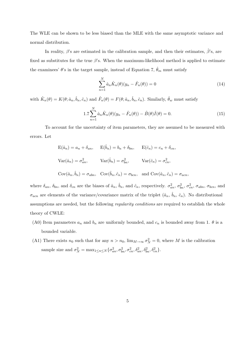The WLE can be shown to be less biased than the MLE with the same asymptotic variance and normal distribution.

In reality,  $\beta$ 's are estimated in the calibration sample, and then their estimates,  $\hat{\beta}$ 's, are fixed as substitutes for the true  $\beta$ 's. When the maximum-likelihood method is applied to estimate the examinees'  $\theta$ 's in the target sample, instead of Equation 7,  $\hat{\theta}_m$  must satisfy

$$
\sum_{n=1}^{N} \hat{a}_n \hat{K}_n(\theta)(y_n - \hat{F}_n(\theta)) = 0
$$
\n(14)

with  $\hat{K}_n(\theta) = K(\theta; \hat{a}_n, \hat{b}_n, \hat{c}_n)$  and  $\hat{F}_n(\theta) = F(\theta; \hat{a}_n, \hat{b}_n, \hat{c}_n)$ . Similarly,  $\hat{\theta}_w$  must satisfy

$$
1.7\sum_{n=1}^{N} \hat{a}_n \hat{K}_n(\theta)(y_n - \hat{F}_n(\theta)) - \hat{B}(\theta)\hat{I}(\theta) = 0.
$$
 (15)

To account for the uncertainty of item parameters, they are assumed to be measured with errors. Let

$$
E(\hat{a}_n) = a_n + \delta_{an}, \qquad E(\hat{b}_n) = b_n + \delta_{bn}, \qquad E(\hat{c}_n) = c_n + \delta_{cn},
$$
  
\n
$$
Var(\hat{a}_n) = \sigma_{an}^2, \qquad Var(\hat{b}_n) = \sigma_{bn}^2, \qquad Var(\hat{c}_n) = \sigma_{cn}^2,
$$
  
\n
$$
Cov(\hat{a}_n, \hat{b}_n) = \sigma_{abn}, \quad Cov(\hat{b}_n, \hat{c}_n) = \sigma_{bcn}, \quad \text{and } Cov(\hat{a}_n, \hat{c}_n) = \sigma_{acn},
$$

where  $\delta_{an}$ ,  $\delta_{bn}$ , and  $\delta_{cn}$  are the biases of  $\hat{a}_n$ ,  $\hat{b}_n$ , and  $\hat{c}_n$ , respectively.  $\sigma_{an}^2$ ,  $\sigma_{bn}^2$ ,  $\sigma_{cn}^2$ ,  $\sigma_{abn}$ ,  $\sigma_{bcn}$ , and  $\sigma_{acn}$  are elements of the variance/covariance matrix of the triplet  $(\hat{a}_n, \hat{b}_n, \hat{c}_n)$ . No distributional assumptions are needed, but the following *regularity conditions* are required to establish the whole theory of CWLE:

- (A0) Item parameters  $a_n$  and  $b_n$  are uniformly bounded, and  $c_n$  is bounded away from 1.  $\theta$  is a bounded variable.
- (A1) There exists  $n_0$  such that for any  $n > n_0$ ,  $\lim_{M \to \infty} \sigma_N^2 = 0$ , where M is the calibration sample size and  $\sigma_N^2 = \max_{1 \le n \le N} {\sigma_{an}^2, \sigma_{bn}^2, \sigma_{cn}^2, \delta_{an}^2, \delta_{bn}^2, \delta_{cn}^2}.$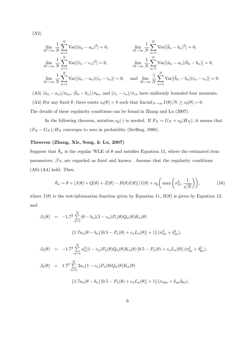(A2)

$$
\lim_{M \to \infty} \frac{1}{N} \sum_{n=1}^{N} \text{Var}[(\hat{a}_n - a_n)^2] = 0, \qquad \lim_{M \to \infty} \frac{1}{N} \sum_{n=1}^{N} \text{Var}[(\hat{b}_n - b_n)^2] = 0,
$$
\n
$$
\lim_{M \to \infty} \frac{1}{N} \sum_{n=1}^{N} \text{Var}[(\hat{c}_n - c_n)^2] = 0, \qquad \lim_{M \to \infty} \frac{1}{N} \sum_{n=1}^{N} \text{Var}[(\hat{a}_n - a_n)(\hat{b}_n - b_n)] = 0,
$$
\n
$$
\lim_{M \to \infty} \frac{1}{N} \sum_{n=1}^{N} \text{Var}[(\hat{a}_n - a_n)(\hat{c}_n - c_n)] = 0, \qquad \text{and} \quad \lim_{M \to \infty} \frac{1}{N} \sum_{n=1}^{N} \text{Var}[(\hat{b}_n - b_n)(\hat{c}_n - c_n)] = 0.
$$

(A3)  $(\hat{a}_n - a_n)/\sigma_{an}$ ,  $(\hat{b}_n - b_n)/\sigma_{bn}$ , and  $(\hat{c}_n - c_n)/\sigma_{cn}$  have uniformly bounded four moments. (A4) For any fixed  $\theta$ , there exists  $c_0(\theta) > 0$  such that  $\liminf_{N \to \infty} I(\theta)/N \ge c_0(\theta) > 0$ .

The details of these regularity conditions can be found in Zhang and Lu (2007).

In the following theorem, notation  $o_p(\cdot)$  is needed. If  $F_N = G_N + o_p(H_N)$ , it means that  $(F_N - G_N)/H_N$  converges to zero in probability (Serfling, 1980).

#### Theorem (Zhang, Xie, Song, & Lu, 2007)

Suppose that  $\hat{\theta}_w$  is the regular WLE of  $\theta$  and satisfies Equation 15, where the estimated item parameters,  $\hat{\beta}$ 's, are regarded as fixed and known. Assume that the regularity conditions  $(A0)-(A4)$  hold. Then

$$
\hat{\theta}_w = \theta + [J(\theta) + Q(\theta) + Z(\theta) - B(\theta)I(\theta)]/I(\theta) + o_p\left(\max\left(\sigma_N^2, \frac{1}{\sqrt{N}}\right)\right),\tag{16}
$$

where  $I(\theta)$  is the test-information function given by Equation 11,  $B(\theta)$  is given by Equation 12, and

$$
J_1(\theta) = -1.7^2 \sum_{n=1}^{N} (\theta - b_n)(1 - c_n) P_n(\theta) Q_n(\theta) K_n(\theta)
$$
  
\n
$$
\{1.7a_n(\theta - b_n) [0.5 - P_n(\theta) + c_n L_n(\theta)] + 1\} (\sigma_{an}^2 + \delta_{an}^2),
$$
  
\n
$$
J_2(\theta) = -1.7^3 \sum_{n=1}^{N} a_n^3 (1 - c_n) P_n(\theta) Q_n(\theta) K_n(\theta) [0.5 - P_n(\theta) + c_n L_n(\theta)] (\sigma_{bn}^2 + \delta_{bn}^2),
$$
  
\n
$$
J_3(\theta) = 1.7^2 \sum_{n=1}^{N} 2a_n (1 - c_n) P_n(\theta) Q_n(\theta) K_n(\theta)
$$
  
\n
$$
\{1.7a_n(\theta - b_n) [0.5 - P_n(\theta) + c_n L_n(\theta)] + 1\} (\sigma_{abn} + \delta_{an} \delta_{bn}),
$$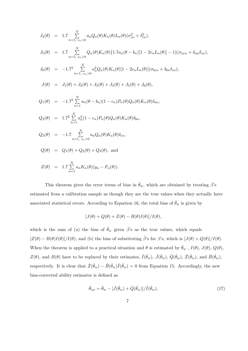$$
J_4(\theta) = 1.7 \sum_{n=1, c_n>0}^{N} a_n Q_n(\theta) K_n(\theta) L_n(\theta) (\sigma_{cn}^2 + \delta_{cn}^2),
$$
  
\n
$$
J_5(\theta) = 1.7 \sum_{n=1, c_n>0}^{N} Q_n(\theta) K_n(\theta) \{1.7a_n(\theta - b_n)[1 - 2c_n L_n(\theta)] - 1\} (\sigma_{acn} + \delta_{an} \delta_{cn}),
$$
  
\n
$$
J_6(\theta) = -1.7^2 \sum_{n=1, c_n>0}^{N} a_n^2 Q_n(\theta) K_n(\theta) [1 - 2c_n L_n(\theta)] (\sigma_{bcn} + \delta_{bn} \delta_{cn}),
$$
  
\n
$$
J(\theta) = J_1(\theta) + J_2(\theta) + J_3(\theta) + J_4(\theta) + J_5(\theta) + J_6(\theta),
$$
  
\n
$$
Q_1(\theta) = -1.7^2 \sum_{n=1}^{N} a_n (\theta - b_n)(1 - c_n) P_n(\theta) Q_n(\theta) K_n(\theta) \delta_{an},
$$

$$
Q_2(\theta) = 1.7^2 \sum_{n=1}^{N} a_n^2 (1 - c_n) P_n(\theta) Q_n(\theta) K_n(\theta) \delta_{bn},
$$

$$
Q_3(\theta) = -1.7 \sum_{n=1, c_n > 0}^{N} a_n Q_n(\theta) K_n(\theta) \delta_{cn},
$$

$$
Q(\theta) \quad = \quad Q_1(\theta) + Q_2(\theta) + Q_3(\theta),
$$
 and

$$
Z(\theta) = 1.7 \sum_{n=1}^{N} a_n K_n(\theta) (y_n - F_n(\theta)).
$$

This theorem gives the error terms of bias in  $\hat{\theta}_w$ , which are obtained by treating  $\hat{\beta}$ 's estimated from a calibration sample as though they are the true values when they actually have associated statistical errors. According to Equation 16, the total bias of  $\hat{\theta}_w$  is given by

$$
[J(\theta) + Q(\theta) + Z(\theta) - B(\theta)I(\theta)]/I(\theta),
$$

which is the sum of (a) the bias of  $\hat{\theta}_w$  given  $\hat{\beta}$ 's as the true values, which equals  $[Z(\theta) - B(\theta)I(\theta)]/I(\theta)$ ; and (b) the bias of substituting  $\hat{\beta}$ 's for  $\beta$ 's, which is  $[J(\theta) + Q(\theta)]/I(\theta)$ . When the theorem is applied to a practical situation and  $\theta$  is estimated by  $\hat{\theta}_w$ ,  $I(\theta)$ ,  $J(\theta)$ ,  $Q(\theta)$ ,  $Z(\theta)$ , and  $B(\theta)$  have to be replaced by their estimates,  $\hat{I}(\hat{\theta}_w)$ ,  $\hat{J}(\hat{\theta}_w)$ ,  $\hat{Q}(\hat{\theta}_w)$ ,  $\hat{Z}(\hat{\theta}_w)$ , and  $\hat{B}(\hat{\theta}_w)$ , respectively. It is clear that  $\hat{Z}(\hat{\theta}_w) - \hat{B}(\hat{\theta}_w)\hat{I}(\hat{\theta}_w) = 0$  from Equation 15. Accordingly, the new bias-corrected ability estimator is defined as

$$
\hat{\theta}_{wc} = \hat{\theta}_w - [\hat{J}(\hat{\theta}_w) + \hat{Q}(\hat{\theta}_w)] / \hat{I}(\hat{\theta}_w),\tag{17}
$$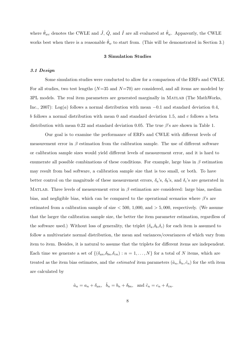where  $\hat{\theta}_{wc}$  denotes the CWLE and  $\hat{J}$ ,  $\hat{Q}$ , and  $\hat{I}$  are all evaluated at  $\hat{\theta}_{w}$ . Apparently, the CWLE works best when there is a reasonable  $\hat{\theta}_w$  to start from. (This will be demonstrated in Section 3.)

### 3 Simulation Studies

# 3.1 Design

Some simulation studies were conducted to allow for a comparison of the ERFs and CWLE. For all studies, two test lengths  $(N=35$  and  $N=70)$  are considered, and all items are modeled by 3PL models. The real item parameters are generated marginally in Matlab (The MathWorks, Inc., 2007): Log(a) follows a normal distribution with mean  $-0.1$  and standard deviation 0.4, b follows a normal distribution with mean 0 and standard deviation 1.5, and c follows a beta distribution with mean 0.22 and standard deviation 0.05. The true  $\beta$ 's are shown in Table 1.

Our goal is to examine the performance of ERFs and CWLE with different levels of measurement error in  $\beta$  estimation from the calibration sample. The use of different software or calibration sample sizes would yield different levels of measurement error, and it is hard to enumerate all possible combinations of these conditions. For example, large bias in  $\beta$  estimation may result from bad software, a calibration sample size that is too small, or both. To have better control on the magnitude of these measurement errors,  $\delta_a$ 's,  $\delta_b$ 's, and  $\delta_c$ 's are generated in MATLAB. Three levels of measurement error in  $\beta$  estimation are considered: large bias, median bias, and negligible bias, which can be compared to the operational scenarios where  $\beta$ 's are estimated from a calibration sample of size  $< 500, 1,000,$  and  $> 5,000$ , respectively. (We assume that the larger the calibration sample size, the better the item parameter estimation, regardless of the software used.) Without loss of generality, the triplet  $(\delta_a, \delta_b, \delta_c)$  for each item is assumed to follow a multivariate normal distribution, the mean and variances/covariances of which vary from item to item. Besides, it is natural to assume that the triplets for different items are independent. Each time we generate a set of  $\{(\delta_{an}, \delta_{bn}, \delta_{cn}) : n = 1, ..., N\}$  for a total of N items, which are treated as the item bias estimates, and the *estimated* item parameters  $(\hat{a}_n, \hat{b}_n, \hat{c}_n)$  for the *n*th item are calculated by

$$
\hat{a}_n = a_n + \delta_{an}, \quad \hat{b}_n = b_n + \delta_{bn}, \text{ and } \hat{c}_n = c_n + \delta_{cn}.
$$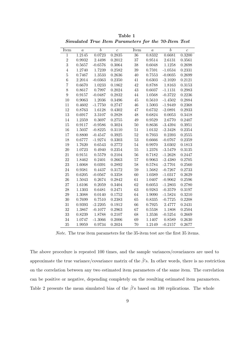| Item             | $\alpha$ | $\boldsymbol{b}$ | $\overline{c}$ | Item            | $\boldsymbol{a}$ | $\overline{b}$ | $\overline{c}$ |
|------------------|----------|------------------|----------------|-----------------|------------------|----------------|----------------|
| $\mathbf{1}$     | 1.2145   | 0.0723           | 0.2835         | $\overline{36}$ | 0.8332           | 0.6681         | 0.3200         |
| $\overline{2}$   | 0.9932   | 2.4498           | 0.2012         | 37              | 0.9514           | 2.6131         | 0.3561         |
| 3                | 0.5657   | $-0.6576$        | 0.3064         | 38              | 0.6048           | 1.1258         | 0.2698         |
| $\overline{4}$   | 1.2740   | 1.7239           | 0.2582         | 39              | 0.7591           | $-1.0534$      | 0.2331         |
| $\overline{5}$   | 0.7467   | 1.3533           | 0.2636         | 40              | 0.7553           | $-0.0035$      | 0.2699         |
| $\overline{6}$   | 2.2014   | $-0.0363$        | 0.2350         | 41              | 0.6303           | $-2.1020$      | 0.2121         |
| $\overline{7}$   | 0.6670   | 1.0233           | 0.1862         | 42              | 0.8788           | 1.8163         | 0.3153         |
| 8                | 0.8617   | 0.7997           | 0.2024         | 43              | 0.6037           | $-1.1131$      | 0.2983         |
| $\boldsymbol{9}$ | 0.9157   | $-0.0487$        | 0.2832         | 44              | 1.0568           | $-0.3722$      | 0.2236         |
| 10               | 0.9063   | 1.2036           | 0.3496         | 45              | 0.5610           | $-1.4502$      | 0.2884         |
| 11               | 0.4602   | $-1.7750$        | 0.2747         | 46              | 1.5003           | $-1.9449$      | 0.2368         |
| 12               | 0.8763   | 1.6128           | 0.4302         | 47              | 0.6732           | $-2.0891$      | 0.2933         |
| 13               | 0.6917   | $3.3107\,$       | 0.2828         | 48              | 0.6824           | 0.0053         | 0.3418         |
| 14               | 1.2359   | 0.3697           | 0.2755         | 49              | 0.9529           | 2.6770         | 0.2407         |
| 15               | 0.9117   | $-0.9586$        | 0.3024         | 50              | 0.8636           | $-3.4394$      | 0.3951         |
| 16               | 1.5037   | $-0.8225$        | 0.3110         | 51              | 1.0132           | $-2.3428$      | 0.2354         |
| 17               | 0.8800   | $-0.4547$        | 0.3925         | $\sqrt{52}$     | 0.7933           | 0.2393         | 0.2555         |
| 18               | 0.6777   | $-1.9274$        | 0.3303         | $53\,$          | 0.6666           | $-0.0767$      | 0.2359         |
| 19               | 1.7620   | 0.6543           | 0.2772         | $54\,$          | 0.9970           | 3.0302         | 0.1813         |
| 20               | 1.0723   | 0.4940           | 0.2354         | $55\,$          | 1.2376           | $-3.5479$      | ${ 0.3135}$    |
| 21               | 0.9151   | 0.5579           | 0.2104         | $56\,$          | 0.7182           | $-1.2628$      | 0.2447         |
| 22               | 1.8462   | 0.2401           | 0.2663         | $57\,$          | 0.9063           | $-2.4380$      | 0.2705         |
| 23               | 1.6068   | 0.0391           | 0.2892         | 58              | 0.5784           | $-2.7701$      | 0.2560         |
| 24               | 0.9381   | 0.4437           | 0.3172         | $\bf 59$        | 1.5682           | $-0.7267$      | 0.2733         |
| 25               | 0.6205   | $-0.0567$        | 0.3358         | 60              | 1.0389           | $-1.0317$      | 0.2629         |
| 26               | 1.5043   | 0.2674           | 0.2842         | 61              | 1.0407           | $-0.9062$      | 0.2596         |
| 27               | 1.6106   | 0.2059           | 0.3404         | 62              | 0.6053           | $-1.2803$      | 0.2780         |
| 28               | 1.1303   | 0.6481           | 0.2471         | 63              | 0.9283           | $-0.3579$      | 0.3197         |
| 29               | 1.3088   | 0.0140           | 0.1752         | 64              | 1.9090           | $-1.5824$      | 0.3210         |
| 30               | 0.7699   | 0.7510           | 0.2383         | 65              | 0.8335           | $-0.7725$      | 0.2208         |
| 31               | 0.9393   | $-2.2205$        | 0.1912         | 66              | 0.7925           | 2.4777         | 0.2431         |
| 32               | 1.3867   | $-0.1077$        | 0.2963         | 67              | 0.5538           | 1.1808         | 0.2504         |
| 33               | 0.8239   | 1.8788           | 0.2107         | 68              | 1.3536           | $-0.5254$      | 0.2669         |
| 34               | 1.0747   | $-1.3066$        | 0.2006         | 69              | 1.1407           | 0.8589         | 0.2630         |
| 35               | 1.9959   | 0.9734           | 0.2024         | 70              | 1.2149           | $-0.2157$      | 0.2677         |

Table 1 Simulated True Item Parameters for the 70-Item Test

Note. The true item parameters for the 35-item test are the first 35 items.

The above procedure is repeated 100 times, and the sample variances/covariances are used to approximate the true variance/covariance matrix of the  $\hat{\beta}$ 's. In other words, there is no restriction on the correlation between any two estimated item parameters of the same item. The correlation can be positive or negative, depending completely on the resulting estimated item parameters. Table 2 presents the mean simulated bias of the  $\hat{\beta}$ 's based on 100 replications. The whole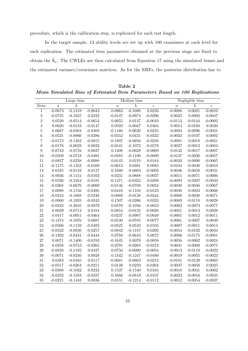procedure, which is the calibration step, is replicated for each test length.

In the target sample, 13 ability levels are set up with 100 examinees at each level for each replication. The estimated item parameters obtained at the previous stage are fixed to obtain the  $\hat{\theta}_w$ . The CWLEs are then calculated from Equation 17 using the simulated biases and the estimated variance/covariance matrices. As for the ERFs, the posterior distribution has to

Table 2 Mean Simulated Bias of Estimated Item Parameters Based on 100 Replications

|                  |                  | Large bias       |                  |                  | Median bias      |                  |                  | Negligible bias  |                  |  |
|------------------|------------------|------------------|------------------|------------------|------------------|------------------|------------------|------------------|------------------|--|
| Item             | $\boldsymbol{a}$ | $\boldsymbol{b}$ | $\boldsymbol{c}$ | $\boldsymbol{a}$ | $\boldsymbol{b}$ | $\boldsymbol{c}$ | $\boldsymbol{a}$ | $\boldsymbol{b}$ | $\boldsymbol{c}$ |  |
| $\mathbf{1}$     | $-0.0673$        | $-0.1418$        | $-0.0042$        | 0.0963           | $-0.1088$        | 0.0233           | $-0.0088$        | 0.0021           | $-0.0010$        |  |
| $\,2$            | $-0.0725$        | $-0.1037$        | 0.0232           | $-0.0147$        | $-0.0974$        | $-0.0296$        | 0.0022           | 0.0092           | $-0.0047$        |  |
| $\sqrt{3}$       | 0.0520           | $-0.0514$        | $-0.0654$        | 0.0655           | 0.0147           | $-0.0010$        | $-0.0113$        | $-0.0144$        | $-0.0002$        |  |
| $\,4\,$          | 0.0020           | $-0.0123$        | $-0.0147$        | 0.0593           | $-0.0047$        | 0.0404           | 0.0014           | $-0.0160$        | 0.0020           |  |
| $\bf 5$          | 0.0687           | $-0.0504$        | $-0.0403$        | $-0.1160$        | $-0.0620$        | 0.0235           | 0.0083           | $-0.0096$        | $-0.0031$        |  |
| $\,6$            | $-0.0521$        | $-0.0860$        | $-0.0286$        | $-0.0552$        | 0.0431           | $-0.0333$        | $-0.0033$        | $-0.0107$        | 0.0002           |  |
| $\overline{7}$   | $-0.0172$        | $-0.1482$        | $-0.0015$        | $-0.1807$        | $-0.0656$        | $-0.0238$        | 0.0081           | 0.0018           | $-0.0021$        |  |
| 8                | $-0.0178$        | $-0.0028$        | $\,0.0033\,$     | $-0.0541$        | $-0.1072$        | $-0.0578$        | 0.0027           | $-0.0012$        | 0.0084           |  |
| $\boldsymbol{9}$ | $-0.0743$        | $-0.0716$        | 0.0037           | 0.1408           | $-0.0628$        | $-0.0069$        | 0.0132           | $-0.0017$        | $-0.0007$        |  |
| $10\,$           | $-0.0509$        | $-0.0718$        | $-0.0491$        | $-0.0585$        | $-0.1190$        | $-0.0099$        | $-0.0137$        | $-0.0030$        | $-0.0057$        |  |
| 11               | $-0.0827$        | 0.0238           | $-0.0088$        | 0.0145           | 0.0219           | 0.0184           | $-0.0020$        | $-0.0006$        | $-0.0065$        |  |
| 12               | $-0.1175$        | $-0.1352$        | $-0.0160$        | $-0.0613$        | 0.0381           | 0.0085           | 0.0104           | $-0.0040$        | 0.0010           |  |
| $13\,$           | 0.0185           | $-0.0133$        | 0.0127           | 0.1680           | $-0.0603$        | $-0.0003$        | 0.0046           | $-0.0050$        | $-0.0031$        |  |
| 14               | $-0.0936$        | $-0.1151$        | $-0.0103$        | 0.0231           | $-0.0888$        | $-0.0037$        | 0.0011           | $-0.0071$        | 0.0006           |  |
| $15\,$           | $-0.0236$        | $-0.2164$        | $-0.0191$        | $-0.1471$        | $-0.0322$        | 0.0289           | $-0.0093$        | $-0.0207$        | $-0.0033$        |  |
| $16\,$           | $-0.0368$        | $-0.0676$        | $-0.0000$        | $-0.0146$        | $-0.0708$        | 0.0024           | $-0.0040$        | $-0.0046$        | 0.0067           |  |
| $17\,$           | 0.0098           | $-0.1156$        | $-0.0495$        | 0.0416           | $-0.1104$        | $-0.0523$        | $-0.0038$        | 0.0023           | $-0.0066$        |  |
| 18               | $-0.0244$        | $-0.1088$        | $-0.0248$        | 0.0869           | $-0.0128$        | $-0.0244$        | 0.0080           | 0.0038           | 0.0071           |  |
| $19\,$           | $-0.0000$        | $-0.1935$        | $-0.0343$        | 0.1507           | $-0.0266$        | 0.0333           | $-0.0089$        | $-0.0110$        | 0.0028           |  |
| $20\,$           | $-0.0343$        | $-0.2045$        | $-0.0079$        | 0.0570           | $-0.1056$        | $-0.0053$        | 0.0002           | $-0.0073$        | $-0.0077$        |  |
| $21\,$           | 0.0039           | $-0.0713$        | 0.0184           | $-0.0854$        | $-0.0125$        | $-0.0026$        | $-0.0021$        | 0.0013           | 0.0029           |  |
| $22\,$           | 0.0417           | $-0.0951$        | $-0.0464$        | 0.0237           | $-0.0987$        | $-0.0049$        | $-0.0001$        | 0.0012           | $-0.0011$        |  |
| $23\,$           | $-0.1374$        | $-0.1076$        | 0.0087           | $-0.0530$        | $-0.0785$        | 0.0077           | 0.0061           | 0.0007           | 0.0049           |  |
| $24\,$           | $-0.0566$        | $-0.1159$        | $-0.0492$        | $-0.0525$        | 0.0533           | $-0.0105$        | 0.0007           | $-0.0011$        | $\,0.0015\,$     |  |
| $25\,$           | $-0.0532$        | $-0.0820$        | $-0.0257$        | $-0.0842$        | $-0.1187$        | 0.0292           | $-0.0054$        | $-0.0102$        | $-0.0034$        |  |
| $26\,$           | $-0.1202$        | $-0.0441$        | $-0.0444$        | 0.0794           | $-0.0643$        | 0.0072           | 0.0006           | $-0.0175$        | $-0.0001$        |  |
| $27\,$           | 0.0071           | $-0.1400$        | $-0.0193$        | $-0.1645$        | 0.0070           | $-0.0058$        | 0.0056           | $-0.0002$        | 0.0024           |  |
| $28\,$           | 0.0358           | $-0.0753$        | $-0.0265$        | $-0.0791$        | $-0.0265$        | $-0.0312$        | 0.0041           | $-0.0080$        | $-0.0075$        |  |
| $\,29$           | $-0.0828$        | $-0.1192$        | 0.0437           | 0.0750           | $-0.0090$        | $-0.0054$        | 0.0013           | $-0.0110$        | $-0.0022$        |  |
| $30\,$           | $-0.0071$        | $-0.0240$        | 0.0028           | 0.1542           | $-0.1247$        | $-0.0480$        | $-0.0019$        | 0.0055           | $-0.0023$        |  |
| $31\,$           | 0.0383           | $-0.0165$        | 0.0117           | $-0.0681$        | $-0.0863$        | 0.0214           | $-0.0101$        | $-0.0129$        | $-0.0065$        |  |
| $32\,$           | $-0.0517$        | $-0.0264$        | $-0.0211$        | 0.0149           | 0.0250           | $-0.0204$        | 0.0037           | $0.0058\,$       | 0.0025           |  |
| $33\,$           | $-0.0508$        | $-0.1032$        | 0.0232           | 0.1537           | $-0.1540$        | 0.0165           | $-0.0018$        | 0.0041           | $0.0002\,$       |  |
| 34               | $-0.0232$        | $-0.1583$        | $-0.0337$        | 0.1686           | $-0.0819$        | $-0.0107$        | 0.0023           | $-0.0016$        | 0.0035           |  |
| 35               | $-0.0221$        | $-0.1443$        | 0.0036           | 0.0151           | $-0.1214$        | $-0.0112$        | 0.0012           | $-0.0054$        | $-0.0037$        |  |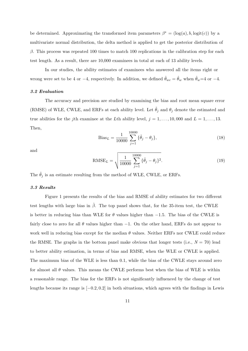be determined. Approximating the transformed item parameters  $\beta^* = (\log(a), b, \logit(c))$  by a multivariate normal distribution, the delta method is applied to get the posterior distribution of  $β$ . This process was repeated 100 times to match 100 replications in the calibration step for each test length. As a result, there are 10,000 examinees in total at each of 13 ability levels.

In our studies, the ability estimates of examinees who answered all the items right or wrong were set to be 4 or −4, respectively. In addition, we defined  $\hat{\theta}_{wc} = \hat{\theta}_w$  when  $\hat{\theta}_w=4$  or −4.

#### 3.2 Evaluation

The accuracy and precision are studied by examining the bias and root mean square error (RMSE) of WLE, CWLE, and ERFs at each ability level. Let  $\tilde{\theta}_i$  and  $\theta_i$  denote the estimated and true abilities for the jth examinee at the Lth ability level,  $j = 1, \ldots, 10,000$  and  $L = 1, \ldots, 13$ . Then,

Bias<sub>L</sub> = 
$$
\frac{1}{10000} \sum_{j=1}^{10000} {\{\tilde{\theta}_j - \theta_j\}},
$$
 (18)

and

RMSE<sub>L</sub> = 
$$
\sqrt{\frac{1}{10000} \sum_{j=1}^{10000} {\{\tilde{\theta}_j - \theta_j\}^2}.
$$
 (19)

The  $\hat{\theta}_j$  is an estimate resulting from the method of WLE, CWLE, or ERFs.

# 3.3 Results

Figure 1 presents the results of the bias and RMSE of ability estimates for two different test lengths with large bias in  $\hat{\beta}$ . The top panel shows that, for the 35-item test, the CWLE is better in reducing bias than WLE for  $\theta$  values higher than  $-1.5$ . The bias of the CWLE is fairly close to zero for all  $\theta$  values higher than  $-1$ . On the other hand, ERFs do not appear to work well in reducing bias except for the median  $\theta$  values. Neither ERFs nor CWLE could reduce the RMSE. The graphs in the bottom panel make obvious that longer tests (i.e.,  $N = 70$ ) lead to better ability estimation, in terms of bias and RMSE, when the WLE or CWLE is applied. The maximum bias of the WLE is less than 0.1, while the bias of the CWLE stays around zero for almost all  $\theta$  values. This means the CWLE performs best when the bias of WLE is within a reasonable range. The bias for the ERFs is not significantly influenced by the change of test lengths because its range is  $[-0.2, 0.2]$  in both situations, which agrees with the findings in Lewis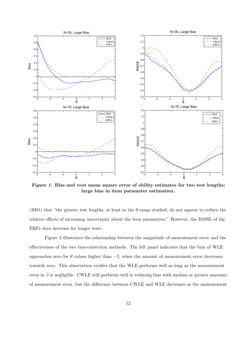

Figure 1. Bias and root mean square error of ability estimates for two test lengths; large bias in item parameter estimation.

(2001) that "the greater test lengths, at least in the  $\theta$  range studied, do not appear to reduce the relative effects of increasing uncertainty about the item parameters." However, the RMSE of the ERFs does decrease for longer tests.

Figure 2 illustrates the relationship between the magnitude of measurement error and the effectiveness of the two bias-correction methods. The left panel indicates that the bias of WLE approaches zero for  $\theta$  values higher than  $-2$ , when the amount of measurement error decreases towards zero. This observation verifies that the WLE performs well as long as the measurement error in  $\hat{\beta}$  is negligible. CWLE still performs well in reducing bias with median or greater amounts of measurement error, but the difference between CWLE and WLE decreases as the measurement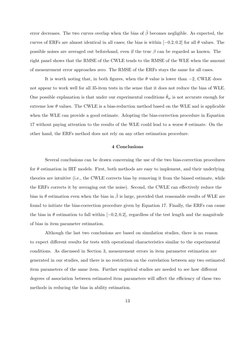error decreases. The two curves overlap when the bias of  $\hat{\beta}$  becomes negligible. As expected, the curves of ERFs are almost identical in all cases; the bias is within  $[-0.2, 0.2]$  for all  $\theta$  values. The possible noises are averaged out beforehand, even if the true  $\beta$  can be regarded as known. The right panel shows that the RMSE of the CWLE tends to the RMSE of the WLE when the amount of measurement error approaches zero. The RMSE of the ERFs stays the same for all cases.

It is worth noting that, in both figures, when the  $\theta$  value is lower than  $-2$ , CWLE does not appear to work well for all 35-item tests in the sense that it does not reduce the bias of WLE. One possible explanation is that under our experimental conditions  $\theta_w$  is not accurate enough for extreme low  $\theta$  values. The CWLE is a bias-reduction method based on the WLE and is applicable when the WLE can provide a good estimate. Adopting the bias-correction procedure in Equation 17 without paying attention to the results of the WLE could lead to a worse  $\theta$  estimate. On the other hand, the ERFs method does not rely on any other estimation procedure.

#### 4 Conclusions

Several conclusions can be drawn concerning the use of the two bias-correction procedures for  $\theta$  estimation in IRT models. First, both methods are easy to implement, and their underlying theories are intuitive (i.e., the CWLE corrects bias by removing it from the biased estimate, while the ERFs corrects it by averaging out the noise). Second, the CWLE can effectively reduce the bias in  $\theta$  estimation even when the bias in  $\hat{\beta}$  is large, provided that reasonable results of WLE are found to initiate the bias-correction procedure given by Equation 17. Finally, the ERFs can cause the bias in  $\theta$  estimation to fall within  $[-0.2, 0.2]$ , regardless of the test length and the magnitude of bias in item parameter estimation.

Although the last two conclusions are based on simulation studies, there is no reason to expect different results for tests with operational characteristics similar to the experimental conditions. As discussed in Section 3, measurement errors in item parameter estimation are generated in our studies, and there is no restriction on the correlation between any two estimated item parameters of the same item. Further empirical studies are needed to see how different degrees of association between estimated item parameters will affect the efficiency of these two methods in reducing the bias in ability estimation.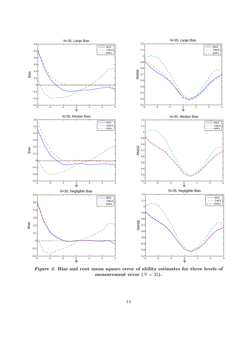

Figure 2. Bias and root mean square error of ability estimates for three levels of measurement error  $(N = 35)$ .